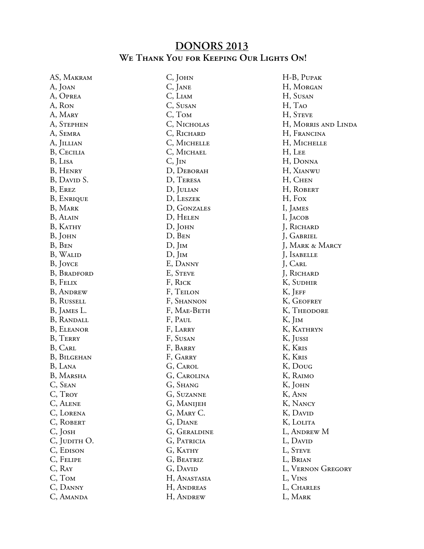## **DONORS 2013 We Thank You for Keeping Our Lights On!**

AS, Makram A, Joan A, Oprea A, Ron A, Mary A, Stephen A, Semra A, Jillian B, Cecilia B, Lisa B, Henry B, DAVID S. B, Erez B, Enrique B, Mark B, Alain B, KATHY B, John B, Ben B, Walid B, Joyce B, Bradford B, Felix B, Andrew B, Russell B, James L. B, Randall B, Eleanor B, Terry B, Carl B, Bilgehan B, Lana B, Marsha C, Sean C, Troy C, Alene C, Lorena C, ROBERT C, Josh C, JUDITH O. C, EDISON C, Felipe C, Ray C, Tom C, Danny C, Amanda

C, John C, Jane C, Liam C, Susan C, Tom C, Nicholas C, Richard C, Michelle C, MICHAEL C, Jin D, Deborah D, Teresa D, Julian D, Leszek D, Gonzales D, Helen D, John D, Ben D, Jim D, Jim E, Danny E, Steve F, Rick F, Teilon F, Shannon F, Mae-Beth F, Paul F, Larry F, Susan F, Barry F, Garry G, Carol G, Carolina G, Shang G, Suzanne G, Manijeh G, Mary C. G, Diane G, Geraldine G, Patricia G, Kathy G, Beatriz G, DAVID H, Anastasia H, Andreas H, Andrew

H-B, Pupak H, Morgan H, Susan H, Tao H, STEVE H, Morris and Linda H, Francina H, Michelle H, Lee H, Donna H, Xianwu H, Chen H, Robert H, Fox I, James I, Jacob J, Richard J, Gabriel J, Mark & Marcy J, Isabelle J, Carl J, Richard K, Sudhir K, JEFF K, Geofrey K, Theodore K, I<sub>IM</sub> K, Kathryn K, Jussi K, Kris K, Kris K, Doug K, Raimo K, JOHN K, Ann K, Nancy K, David K, Lolita L, Andrew M L, DAVID L, STEVE L, Brian L, Vernon Gregory L, Vins L, Charles L, Mark